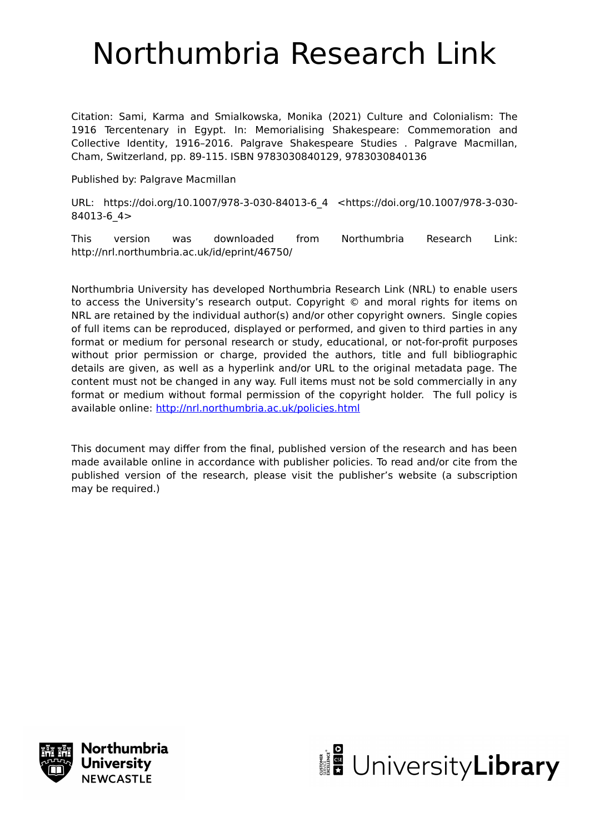# Northumbria Research Link

Citation: Sami, Karma and Smialkowska, Monika (2021) Culture and Colonialism: The 1916 Tercentenary in Egypt. In: Memorialising Shakespeare: Commemoration and Collective Identity, 1916–2016. Palgrave Shakespeare Studies . Palgrave Macmillan, Cham, Switzerland, pp. 89-115. ISBN 9783030840129, 9783030840136

Published by: Palgrave Macmillan

URL: https://doi.org/10.1007/978-3-030-84013-6\_4 <https://doi.org/10.1007/978-3-030- 84013-6\_4>

This version was downloaded from Northumbria Research Link: http://nrl.northumbria.ac.uk/id/eprint/46750/

Northumbria University has developed Northumbria Research Link (NRL) to enable users to access the University's research output. Copyright © and moral rights for items on NRL are retained by the individual author(s) and/or other copyright owners. Single copies of full items can be reproduced, displayed or performed, and given to third parties in any format or medium for personal research or study, educational, or not-for-profit purposes without prior permission or charge, provided the authors, title and full bibliographic details are given, as well as a hyperlink and/or URL to the original metadata page. The content must not be changed in any way. Full items must not be sold commercially in any format or medium without formal permission of the copyright holder. The full policy is available online:<http://nrl.northumbria.ac.uk/policies.html>

This document may differ from the final, published version of the research and has been made available online in accordance with publisher policies. To read and/or cite from the published version of the research, please visit the publisher's website (a subscription may be required.)



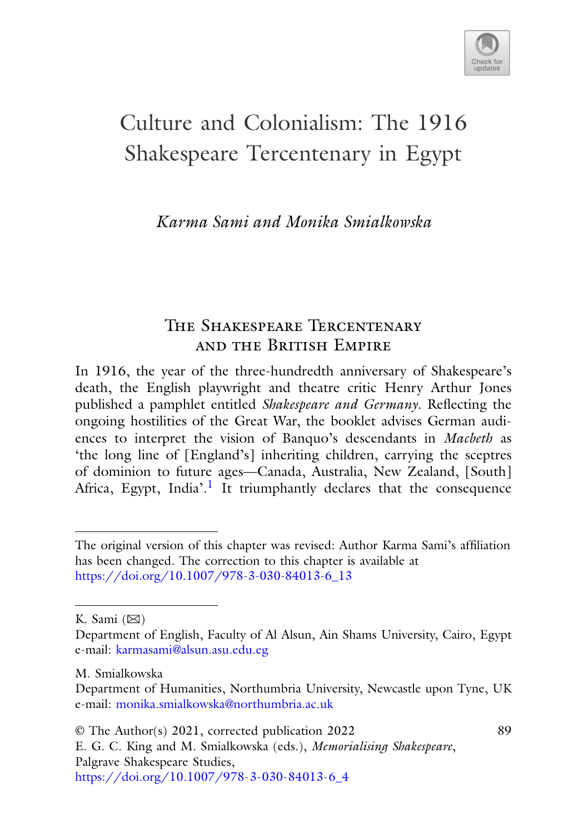

89

## Culture and Colonialism: The 1916 Shakespeare Tercentenary in Egypt

*Karma Sami and Monika Smialkowska*

## The Shakespeare Tercentenary and the British Empire

In 1916, the year of the three-hundredth anniversary of Shakespeare's death, the English playwright and theatre critic Henry Arthur Jones published a pamphlet entitled *Shakespeare and Germany*. Reflecting the ongoing hostilities of the Great War, the booklet advises German audiences to interpret the vision of Banquo's descendants in *Macbeth* as 'the long line of [England's] inheriting children, carrying the sceptres of dominion to future ages—Canada, Australia, New Zealand, [South] Africa, Egypt, India'.<sup>[1](#page-18-0)</sup> It triumphantly declares that the consequence

K. Sami  $(\boxtimes)$ 

M. Smialkowska

© The Author(s) 2021, corrected publication 2022 E. G. C. King and M. Smialkowska (eds.), *Memorialising Shakespeare*, Palgrave Shakespeare Studies, [https://doi.org/10.1007/978-3-030-84013-6\\_4](https://doi.org/10.1007/978-3-030-84013-6_4)

The original version of this chapter was revised: Author Karma Sami's affiliation has been changed. The correction to this chapter is available at [https://doi.org/10.1007/978-3-030-84013-6\\_13](https://doi.org/10.1007/978-3-030-84013-6_13)

Department of English, Faculty of Al Alsun, Ain Shams University, Cairo, Egypt e-mail: [karmasami@alsun.asu.edu.eg](mailto:karmasami@alsun.asu.edu.eg)

Department of Humanities, Northumbria University, Newcastle upon Tyne, UK e-mail: [monika.smialkowska@northumbria.ac.uk](mailto:monika.smialkowska@northumbria.ac.uk)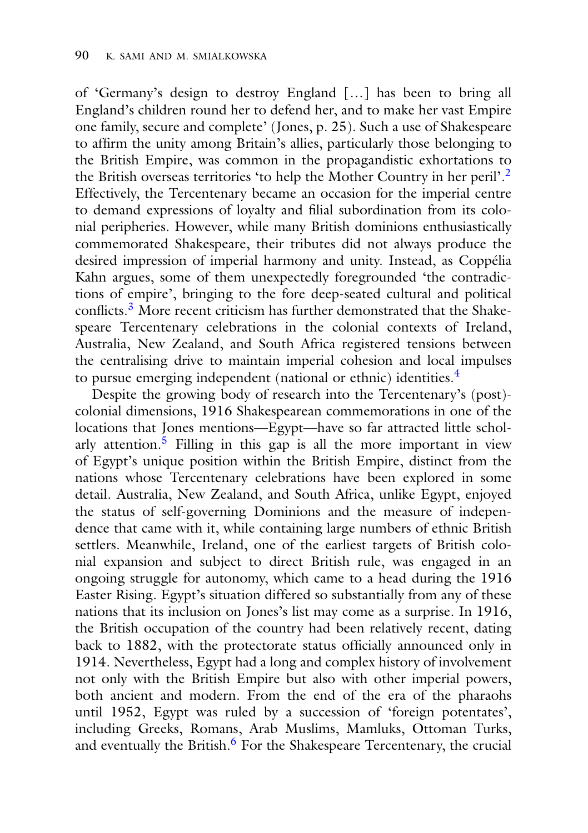of 'Germany's design to destroy England […] has been to bring all England's children round her to defend her, and to make her vast Empire one family, secure and complete' (Jones, p. 25). Such a use of Shakespeare to affirm the unity among Britain's allies, particularly those belonging to the British Empire, was common in the propagandistic exhortations to the British overseas territories 'to help the Mother Country in her peril'.[2](#page-18-0) Effectively, the Tercentenary became an occasion for the imperial centre to demand expressions of loyalty and filial subordination from its colonial peripheries. However, while many British dominions enthusiastically commemorated Shakespeare, their tributes did not always produce the desired impression of imperial harmony and unity. Instead, as Coppélia Kahn argues, some of them unexpectedly foregrounded 'the contradictions of empire', bringing to the fore deep-seated cultural and political conflicts[.3](#page-18-0) More recent criticism has further demonstrated that the Shakespeare Tercentenary celebrations in the colonial contexts of Ireland, Australia, New Zealand, and South Africa registered tensions between the centralising drive to maintain imperial cohesion and local impulses to pursue emerging independent (national or ethnic) identities.<sup>[4](#page-18-0)</sup>

Despite the growing body of research into the Tercentenary's (post) colonial dimensions, 1916 Shakespearean commemorations in one of the locations that Jones mentions—Egypt—have so far attracted little scholarly attention.<sup>5</sup> Filling in this gap is all the more important in view of Egypt's unique position within the British Empire, distinct from the nations whose Tercentenary celebrations have been explored in some detail. Australia, New Zealand, and South Africa, unlike Egypt, enjoyed the status of self-governing Dominions and the measure of independence that came with it, while containing large numbers of ethnic British settlers. Meanwhile, Ireland, one of the earliest targets of British colonial expansion and subject to direct British rule, was engaged in an ongoing struggle for autonomy, which came to a head during the 1916 Easter Rising. Egypt's situation differed so substantially from any of these nations that its inclusion on Jones's list may come as a surprise. In 1916, the British occupation of the country had been relatively recent, dating back to 1882, with the protectorate status officially announced only in 1914. Nevertheless, Egypt had a long and complex history of involvement not only with the British Empire but also with other imperial powers, both ancient and modern. From the end of the era of the pharaohs until 1952, Egypt was ruled by a succession of 'foreign potentates', including Greeks, Romans, Arab Muslims, Mamluks, Ottoman Turks, and eventually the British. $6$  For the Shakespeare Tercentenary, the crucial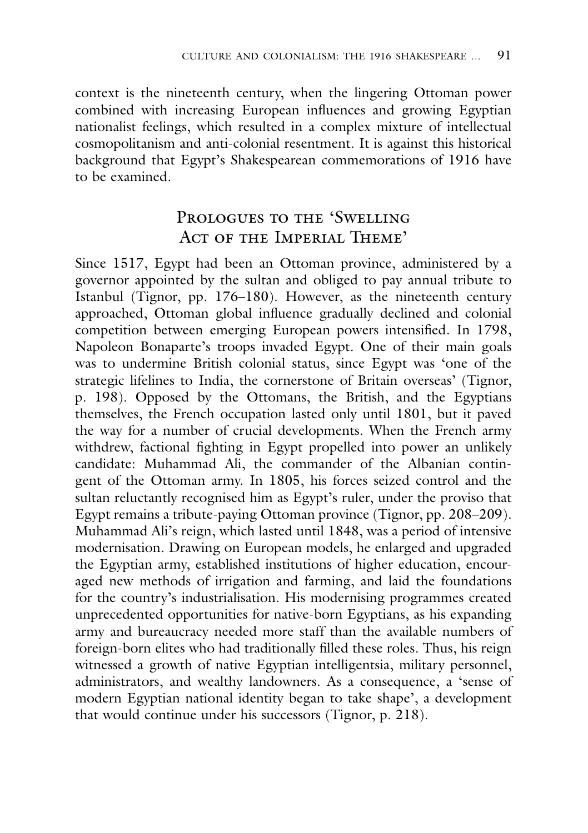context is the nineteenth century, when the lingering Ottoman power combined with increasing European influences and growing Egyptian nationalist feelings, which resulted in a complex mixture of intellectual cosmopolitanism and anti-colonial resentment. It is against this historical background that Egypt's Shakespearean commemorations of 1916 have to be examined.

## Prologues to the 'Swelling ACT OF THE IMPERIAL THEME'

Since 1517, Egypt had been an Ottoman province, administered by a governor appointed by the sultan and obliged to pay annual tribute to Istanbul (Tignor, pp. 176–180). However, as the nineteenth century approached, Ottoman global influence gradually declined and colonial competition between emerging European powers intensified. In 1798, Napoleon Bonaparte's troops invaded Egypt. One of their main goals was to undermine British colonial status, since Egypt was 'one of the strategic lifelines to India, the cornerstone of Britain overseas' (Tignor, p. 198). Opposed by the Ottomans, the British, and the Egyptians themselves, the French occupation lasted only until 1801, but it paved the way for a number of crucial developments. When the French army withdrew, factional fighting in Egypt propelled into power an unlikely candidate: Muhammad Ali, the commander of the Albanian contingent of the Ottoman army. In 1805, his forces seized control and the sultan reluctantly recognised him as Egypt's ruler, under the proviso that Egypt remains a tribute-paying Ottoman province (Tignor, pp. 208–209). Muhammad Ali's reign, which lasted until 1848, was a period of intensive modernisation. Drawing on European models, he enlarged and upgraded the Egyptian army, established institutions of higher education, encouraged new methods of irrigation and farming, and laid the foundations for the country's industrialisation. His modernising programmes created unprecedented opportunities for native-born Egyptians, as his expanding army and bureaucracy needed more staff than the available numbers of foreign-born elites who had traditionally filled these roles. Thus, his reign witnessed a growth of native Egyptian intelligentsia, military personnel, administrators, and wealthy landowners. As a consequence, a 'sense of modern Egyptian national identity began to take shape', a development that would continue under his successors (Tignor, p. 218).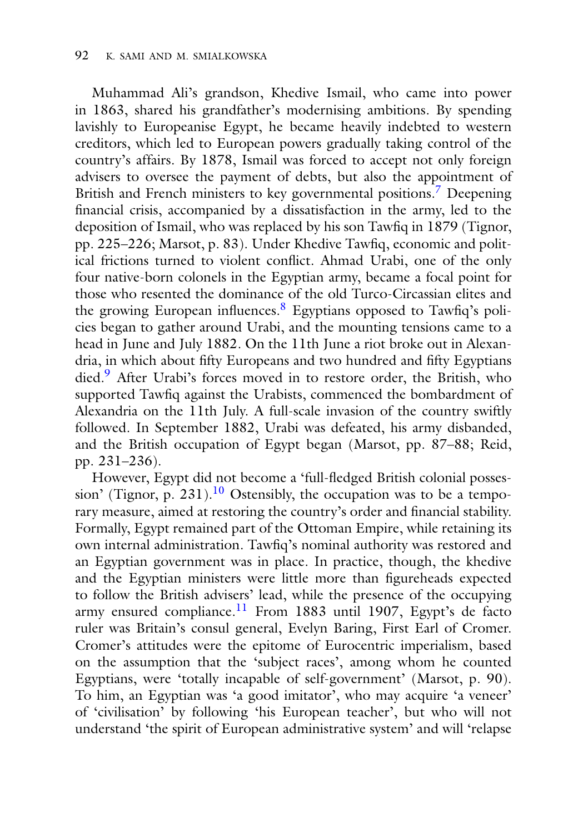Muhammad Ali's grandson, Khedive Ismail, who came into power in 1863, shared his grandfather's modernising ambitions. By spending lavishly to Europeanise Egypt, he became heavily indebted to western creditors, which led to European powers gradually taking control of the country's affairs. By 1878, Ismail was forced to accept not only foreign advisers to oversee the payment of debts, but also the appointment of British and French ministers to key governmental positions.<sup>7</sup> Deepening financial crisis, accompanied by a dissatisfaction in the army, led to the deposition of Ismail, who was replaced by his son Tawfiq in 1879 (Tignor, pp. 225–226; Marsot, p. 83). Under Khedive Tawfiq, economic and political frictions turned to violent conflict. Ahmad Urabi, one of the only four native-born colonels in the Egyptian army, became a focal point for those who resented the dominance of the old Turco-Circassian elites and the growing European influences. $8$  Egyptians opposed to Tawfiq's policies began to gather around Urabi, and the mounting tensions came to a head in June and July 1882. On the 11th June a riot broke out in Alexandria, in which about fifty Europeans and two hundred and fifty Egyptians died[.9](#page-18-0) After Urabi's forces moved in to restore order, the British, who supported Tawfiq against the Urabists, commenced the bombardment of Alexandria on the 11th July. A full-scale invasion of the country swiftly followed. In September 1882, Urabi was defeated, his army disbanded, and the British occupation of Egypt began (Marsot, pp. 87–88; Reid, pp. 231–236).

However, Egypt did not become a 'full-fledged British colonial posses-sion' (Tignor, p. 231).<sup>[10](#page-18-0)</sup> Ostensibly, the occupation was to be a temporary measure, aimed at restoring the country's order and financial stability. Formally, Egypt remained part of the Ottoman Empire, while retaining its own internal administration. Tawfiq's nominal authority was restored and an Egyptian government was in place. In practice, though, the khedive and the Egyptian ministers were little more than figureheads expected to follow the British advisers' lead, while the presence of the occupying army ensured compliance.<sup>11</sup> From 1883 until 1907, Egypt's de facto ruler was Britain's consul general, Evelyn Baring, First Earl of Cromer. Cromer's attitudes were the epitome of Eurocentric imperialism, based on the assumption that the 'subject races', among whom he counted Egyptians, were 'totally incapable of self-government' (Marsot, p. 90). To him, an Egyptian was 'a good imitator', who may acquire 'a veneer' of 'civilisation' by following 'his European teacher', but who will not understand 'the spirit of European administrative system' and will 'relapse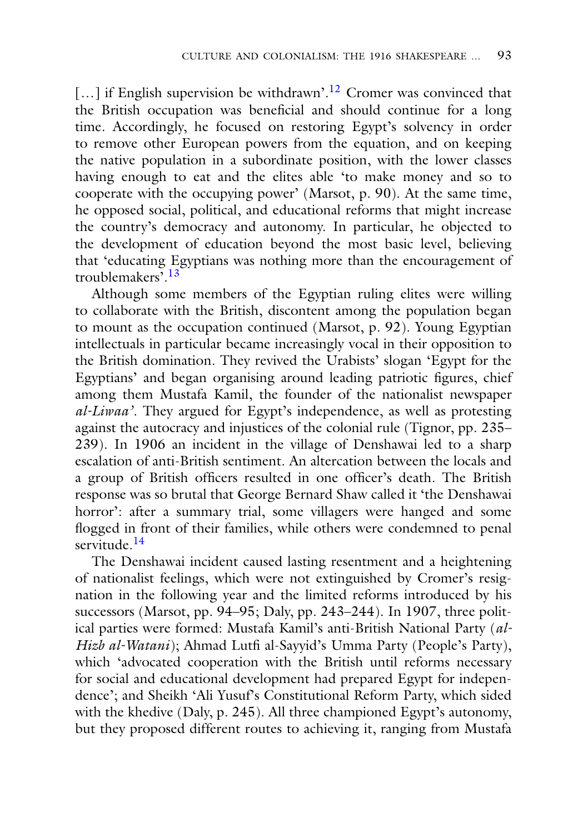$[\dots]$  if English supervision be withdrawn'.<sup>12</sup> Cromer was convinced that the British occupation was beneficial and should continue for a long time. Accordingly, he focused on restoring Egypt's solvency in order to remove other European powers from the equation, and on keeping the native population in a subordinate position, with the lower classes having enough to eat and the elites able 'to make money and so to cooperate with the occupying power' (Marsot, p. 90). At the same time, he opposed social, political, and educational reforms that might increase the country's democracy and autonomy. In particular, he objected to the development of education beyond the most basic level, believing that 'educating Egyptians was nothing more than the encouragement of troublemakers'.[13](#page-18-0)

Although some members of the Egyptian ruling elites were willing to collaborate with the British, discontent among the population began to mount as the occupation continued (Marsot, p. 92). Young Egyptian intellectuals in particular became increasingly vocal in their opposition to the British domination. They revived the Urabists' slogan 'Egypt for the Egyptians' and began organising around leading patriotic figures, chief among them Mustafa Kamil, the founder of the nationalist newspaper *al-Liwaa'*. They argued for Egypt's independence, as well as protesting against the autocracy and injustices of the colonial rule (Tignor, pp. 235– 239). In 1906 an incident in the village of Denshawai led to a sharp escalation of anti-British sentiment. An altercation between the locals and a group of British officers resulted in one officer's death. The British response was so brutal that George Bernard Shaw called it 'the Denshawai horror': after a summary trial, some villagers were hanged and some flogged in front of their families, while others were condemned to penal servitude.<sup>[14](#page-18-0)</sup>

The Denshawai incident caused lasting resentment and a heightening of nationalist feelings, which were not extinguished by Cromer's resignation in the following year and the limited reforms introduced by his successors (Marsot, pp. 94–95; Daly, pp. 243–244). In 1907, three political parties were formed: Mustafa Kamil's anti-British National Party (*al-Hizb al-Watani*); Ahmad Lutfi al-Sayyid's Umma Party (People's Party), which 'advocated cooperation with the British until reforms necessary for social and educational development had prepared Egypt for independence'; and Sheikh 'Ali Yusuf's Constitutional Reform Party, which sided with the khedive (Daly, p. 245). All three championed Egypt's autonomy, but they proposed different routes to achieving it, ranging from Mustafa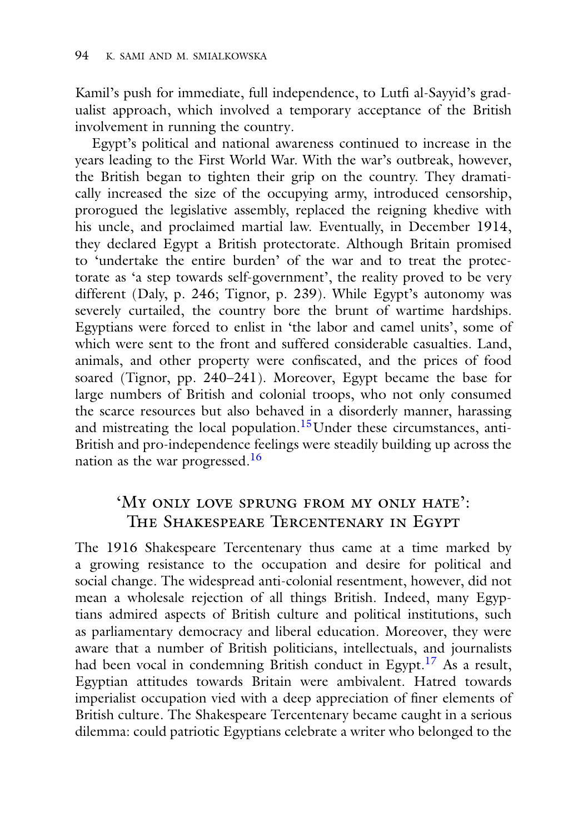Kamil's push for immediate, full independence, to Lutfi al-Sayyid's gradualist approach, which involved a temporary acceptance of the British involvement in running the country.

Egypt's political and national awareness continued to increase in the years leading to the First World War. With the war's outbreak, however, the British began to tighten their grip on the country. They dramatically increased the size of the occupying army, introduced censorship, prorogued the legislative assembly, replaced the reigning khedive with his uncle, and proclaimed martial law. Eventually, in December 1914, they declared Egypt a British protectorate. Although Britain promised to 'undertake the entire burden' of the war and to treat the protectorate as 'a step towards self-government', the reality proved to be very different (Daly, p. 246; Tignor, p. 239). While Egypt's autonomy was severely curtailed, the country bore the brunt of wartime hardships. Egyptians were forced to enlist in 'the labor and camel units', some of which were sent to the front and suffered considerable casualties. Land, animals, and other property were confiscated, and the prices of food soared (Tignor, pp. 240–241). Moreover, Egypt became the base for large numbers of British and colonial troops, who not only consumed the scarce resources but also behaved in a disorderly manner, harassing and mistreating the local population.<sup>15</sup>Under these circumstances, anti-British and pro-independence feelings were steadily building up across the nation as the war progressed[.16](#page-18-0)

## 'My only love sprung from my only hate': The Shakespeare Tercentenary in Egypt

The 1916 Shakespeare Tercentenary thus came at a time marked by a growing resistance to the occupation and desire for political and social change. The widespread anti-colonial resentment, however, did not mean a wholesale rejection of all things British. Indeed, many Egyptians admired aspects of British culture and political institutions, such as parliamentary democracy and liberal education. Moreover, they were aware that a number of British politicians, intellectuals, and journalists had been vocal in condemning British conduct in Egypt.<sup>17</sup> As a result, Egyptian attitudes towards Britain were ambivalent. Hatred towards imperialist occupation vied with a deep appreciation of finer elements of British culture. The Shakespeare Tercentenary became caught in a serious dilemma: could patriotic Egyptians celebrate a writer who belonged to the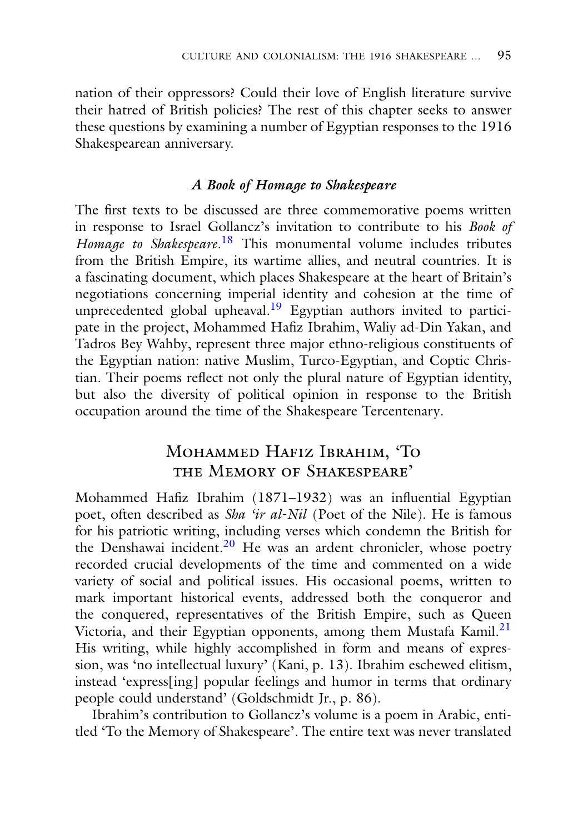nation of their oppressors? Could their love of English literature survive their hatred of British policies? The rest of this chapter seeks to answer these questions by examining a number of Egyptian responses to the 1916 Shakespearean anniversary.

#### *A Book of Homage to Shakespeare*

The first texts to be discussed are three commemorative poems written in response to Israel Gollancz's invitation to contribute to his *Book of Homage to Shakespeare*. [18](#page-18-0) This monumental volume includes tributes from the British Empire, its wartime allies, and neutral countries. It is a fascinating document, which places Shakespeare at the heart of Britain's negotiations concerning imperial identity and cohesion at the time of unprecedented global upheaval.<sup>[19](#page-18-0)</sup> Egyptian authors invited to participate in the project, Mohammed Hafiz Ibrahim, Waliy ad-Din Yakan, and Tadros Bey Wahby, represent three major ethno-religious constituents of the Egyptian nation: native Muslim, Turco-Egyptian, and Coptic Christian. Their poems reflect not only the plural nature of Egyptian identity, but also the diversity of political opinion in response to the British occupation around the time of the Shakespeare Tercentenary.

## Mohammed Hafiz Ibrahim, 'To the Memory of Shakespeare'

Mohammed Hafiz Ibrahim (1871–1932) was an influential Egyptian poet, often described as *Sha 'ir al-Nil* (Poet of the Nile). He is famous for his patriotic writing, including verses which condemn the British for the Denshawai incident. $2<sup>0</sup>$  He was an ardent chronicler, whose poetry recorded crucial developments of the time and commented on a wide variety of social and political issues. His occasional poems, written to mark important historical events, addressed both the conqueror and the conquered, representatives of the British Empire, such as Queen Victoria, and their Egyptian opponents, among them Mustafa Kamil.<sup>21</sup> His writing, while highly accomplished in form and means of expression, was 'no intellectual luxury' (Kani, p. 13). Ibrahim eschewed elitism, instead 'express[ing] popular feelings and humor in terms that ordinary people could understand' (Goldschmidt Jr., p. 86).

Ibrahim's contribution to Gollancz's volume is a poem in Arabic, entitled 'To the Memory of Shakespeare'. The entire text was never translated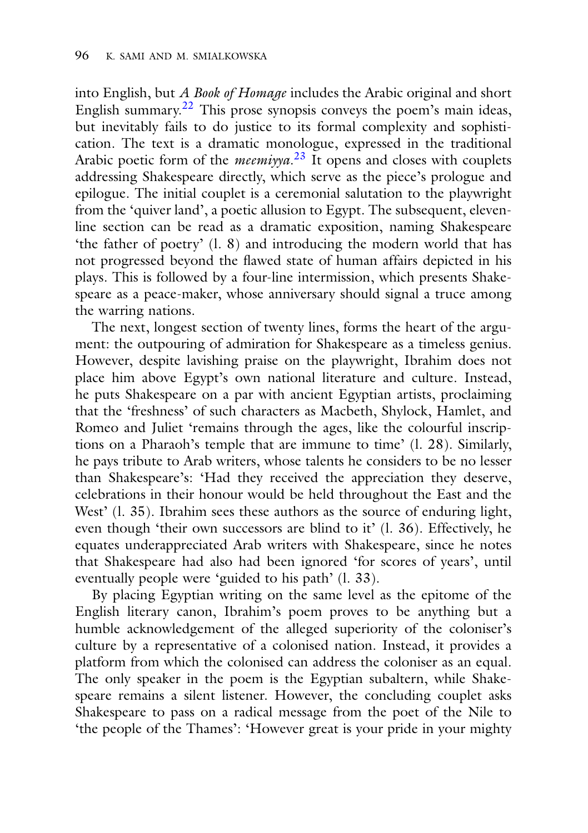into English, but *A Book of Homage* includes the Arabic original and short English summary[.22](#page-18-0) This prose synopsis conveys the poem's main ideas, but inevitably fails to do justice to its formal complexity and sophistication. The text is a dramatic monologue, expressed in the traditional Arabic poetic form of the *meemiyya*. [23](#page-18-0) It opens and closes with couplets addressing Shakespeare directly, which serve as the piece's prologue and epilogue. The initial couplet is a ceremonial salutation to the playwright from the 'quiver land', a poetic allusion to Egypt. The subsequent, elevenline section can be read as a dramatic exposition, naming Shakespeare 'the father of poetry' (l. 8) and introducing the modern world that has not progressed beyond the flawed state of human affairs depicted in his plays. This is followed by a four-line intermission, which presents Shakespeare as a peace-maker, whose anniversary should signal a truce among the warring nations.

The next, longest section of twenty lines, forms the heart of the argument: the outpouring of admiration for Shakespeare as a timeless genius. However, despite lavishing praise on the playwright, Ibrahim does not place him above Egypt's own national literature and culture. Instead, he puts Shakespeare on a par with ancient Egyptian artists, proclaiming that the 'freshness' of such characters as Macbeth, Shylock, Hamlet, and Romeo and Juliet 'remains through the ages, like the colourful inscriptions on a Pharaoh's temple that are immune to time' (l. 28). Similarly, he pays tribute to Arab writers, whose talents he considers to be no lesser than Shakespeare's: 'Had they received the appreciation they deserve, celebrations in their honour would be held throughout the East and the West' (1, 35). Ibrahim sees these authors as the source of enduring light, even though 'their own successors are blind to it' (l. 36). Effectively, he equates underappreciated Arab writers with Shakespeare, since he notes that Shakespeare had also had been ignored 'for scores of years', until eventually people were 'guided to his path' (l. 33).

By placing Egyptian writing on the same level as the epitome of the English literary canon, Ibrahim's poem proves to be anything but a humble acknowledgement of the alleged superiority of the coloniser's culture by a representative of a colonised nation. Instead, it provides a platform from which the colonised can address the coloniser as an equal. The only speaker in the poem is the Egyptian subaltern, while Shakespeare remains a silent listener. However, the concluding couplet asks Shakespeare to pass on a radical message from the poet of the Nile to 'the people of the Thames': 'However great is your pride in your mighty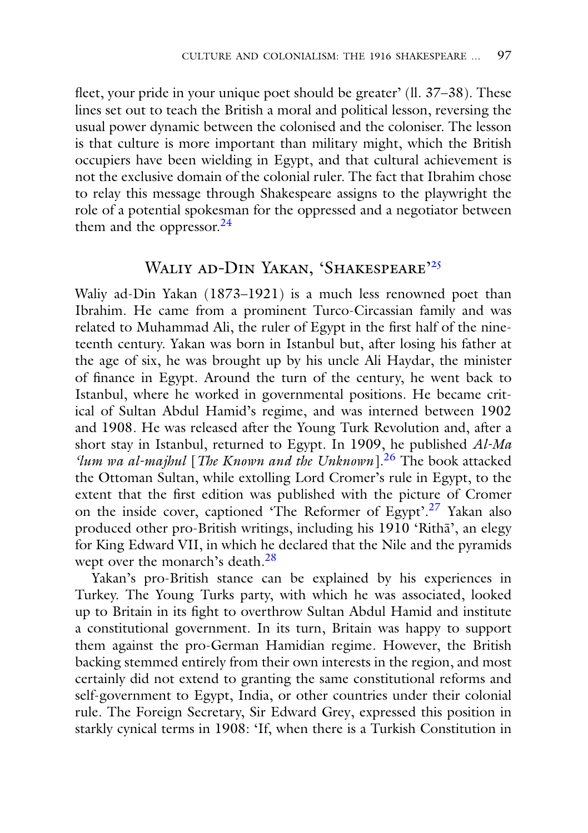fleet, your pride in your unique poet should be greater' (ll. 37–38). These lines set out to teach the British a moral and political lesson, reversing the usual power dynamic between the colonised and the coloniser. The lesson is that culture is more important than military might, which the British occupiers have been wielding in Egypt, and that cultural achievement is not the exclusive domain of the colonial ruler. The fact that Ibrahim chose to relay this message through Shakespeare assigns to the playwright the role of a potential spokesman for the oppressed and a negotiator between them and the oppressor.<sup>24</sup>

## WALIY AD-DIN YAKAN, 'SHAKESPEARE'<sup>[25](#page-18-0)</sup>

Waliy ad-Din Yakan (1873–1921) is a much less renowned poet than Ibrahim. He came from a prominent Turco-Circassian family and was related to Muhammad Ali, the ruler of Egypt in the first half of the nineteenth century. Yakan was born in Istanbul but, after losing his father at the age of six, he was brought up by his uncle Ali Haydar, the minister of finance in Egypt. Around the turn of the century, he went back to Istanbul, where he worked in governmental positions. He became critical of Sultan Abdul Hamid's regime, and was interned between 1902 and 1908. He was released after the Young Turk Revolution and, after a short stay in Istanbul, returned to Egypt. In 1909, he published *Al-Ma 'lum wa al-majhul* [*The Known and the Unknown*][.26](#page-18-0) The book attacked the Ottoman Sultan, while extolling Lord Cromer's rule in Egypt, to the extent that the first edition was published with the picture of Cromer on the inside cover, captioned 'The Reformer of Egypt'.<sup>[27](#page-18-0)</sup> Yakan also produced other pro-British writings, including his 1910 'Ritha', an elegy for King Edward VII, in which he declared that the Nile and the pyramids wept over the monarch's death.<sup>28</sup>

Yakan's pro-British stance can be explained by his experiences in Turkey. The Young Turks party, with which he was associated, looked up to Britain in its fight to overthrow Sultan Abdul Hamid and institute a constitutional government. In its turn, Britain was happy to support them against the pro-German Hamidian regime. However, the British backing stemmed entirely from their own interests in the region, and most certainly did not extend to granting the same constitutional reforms and self-government to Egypt, India, or other countries under their colonial rule. The Foreign Secretary, Sir Edward Grey, expressed this position in starkly cynical terms in 1908: 'If, when there is a Turkish Constitution in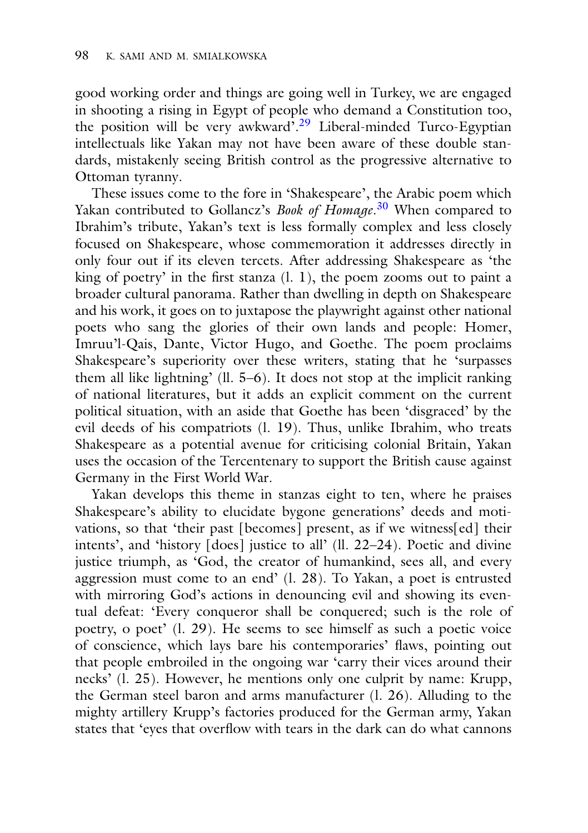good working order and things are going well in Turkey, we are engaged in shooting a rising in Egypt of people who demand a Constitution too, the position will be very awkward<sup>7[.29](#page-18-0)</sup> Liberal-minded Turco-Egyptian intellectuals like Yakan may not have been aware of these double standards, mistakenly seeing British control as the progressive alternative to Ottoman tyranny.

These issues come to the fore in 'Shakespeare', the Arabic poem which Yakan contributed to Gollancz's *Book of Homage*. [30](#page-18-0) When compared to Ibrahim's tribute, Yakan's text is less formally complex and less closely focused on Shakespeare, whose commemoration it addresses directly in only four out if its eleven tercets. After addressing Shakespeare as 'the king of poetry' in the first stanza  $(l, l)$ , the poem zooms out to paint a broader cultural panorama. Rather than dwelling in depth on Shakespeare and his work, it goes on to juxtapose the playwright against other national poets who sang the glories of their own lands and people: Homer, Imruu'l-Qais, Dante, Victor Hugo, and Goethe. The poem proclaims Shakespeare's superiority over these writers, stating that he 'surpasses them all like lightning' (ll. 5–6). It does not stop at the implicit ranking of national literatures, but it adds an explicit comment on the current political situation, with an aside that Goethe has been 'disgraced' by the evil deeds of his compatriots (l. 19). Thus, unlike Ibrahim, who treats Shakespeare as a potential avenue for criticising colonial Britain, Yakan uses the occasion of the Tercentenary to support the British cause against Germany in the First World War.

Yakan develops this theme in stanzas eight to ten, where he praises Shakespeare's ability to elucidate bygone generations' deeds and motivations, so that 'their past [becomes] present, as if we witness[ed] their intents', and 'history [does] justice to all' (ll. 22–24). Poetic and divine justice triumph, as 'God, the creator of humankind, sees all, and every aggression must come to an end' (l. 28). To Yakan, a poet is entrusted with mirroring God's actions in denouncing evil and showing its eventual defeat: 'Every conqueror shall be conquered; such is the role of poetry, o poet' (l. 29). He seems to see himself as such a poetic voice of conscience, which lays bare his contemporaries' flaws, pointing out that people embroiled in the ongoing war 'carry their vices around their necks' (l. 25). However, he mentions only one culprit by name: Krupp, the German steel baron and arms manufacturer (l. 26). Alluding to the mighty artillery Krupp's factories produced for the German army, Yakan states that 'eyes that overflow with tears in the dark can do what cannons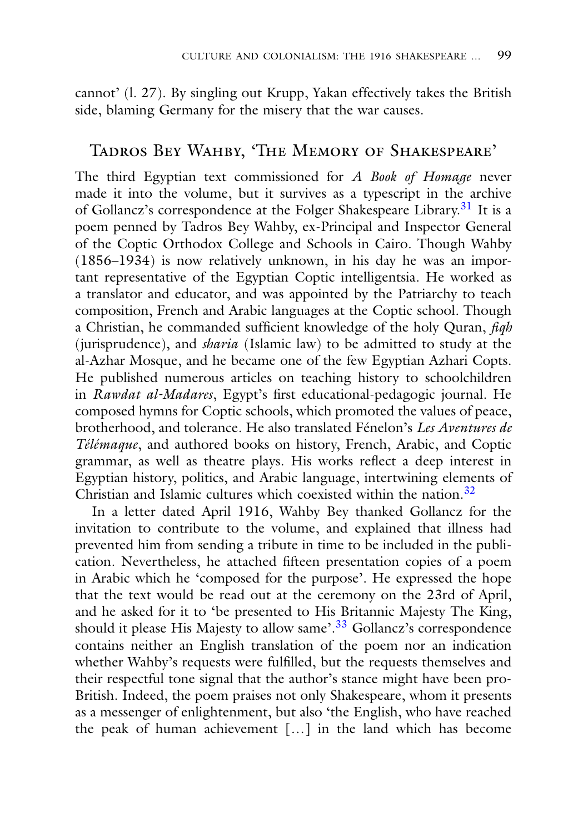cannot' (l. 27). By singling out Krupp, Yakan effectively takes the British side, blaming Germany for the misery that the war causes.

## Tadros Bey Wahby, 'The Memory of Shakespeare'

The third Egyptian text commissioned for *A Book of Homage* never made it into the volume, but it survives as a typescript in the archive of Gollancz's correspondence at the Folger Shakespeare Library.<sup>[31](#page-18-0)</sup> It is a poem penned by Tadros Bey Wahby, ex-Principal and Inspector General of the Coptic Orthodox College and Schools in Cairo. Though Wahby (1856–1934) is now relatively unknown, in his day he was an important representative of the Egyptian Coptic intelligentsia. He worked as a translator and educator, and was appointed by the Patriarchy to teach composition, French and Arabic languages at the Coptic school. Though a Christian, he commanded sufficient knowledge of the holy Quran, *fiqh* (jurisprudence), and *sharia* (Islamic law) to be admitted to study at the al-Azhar Mosque, and he became one of the few Egyptian Azhari Copts. He published numerous articles on teaching history to schoolchildren in *Rawdat al-Madares*, Egypt's first educational-pedagogic journal. He composed hymns for Coptic schools, which promoted the values of peace, brotherhood, and tolerance. He also translated Fénelon's *Les Aventures de Télémaque*, and authored books on history, French, Arabic, and Coptic grammar, as well as theatre plays. His works reflect a deep interest in Egyptian history, politics, and Arabic language, intertwining elements of Christian and Islamic cultures which coexisted within the nation.<sup>[32](#page-18-0)</sup>

In a letter dated April 1916, Wahby Bey thanked Gollancz for the invitation to contribute to the volume, and explained that illness had prevented him from sending a tribute in time to be included in the publication. Nevertheless, he attached fifteen presentation copies of a poem in Arabic which he 'composed for the purpose'. He expressed the hope that the text would be read out at the ceremony on the 23rd of April, and he asked for it to 'be presented to His Britannic Majesty The King, should it please His Majesty to allow same'[.33](#page-18-0) Gollancz's correspondence contains neither an English translation of the poem nor an indication whether Wahby's requests were fulfilled, but the requests themselves and their respectful tone signal that the author's stance might have been pro-British. Indeed, the poem praises not only Shakespeare, whom it presents as a messenger of enlightenment, but also 'the English, who have reached the peak of human achievement […] in the land which has become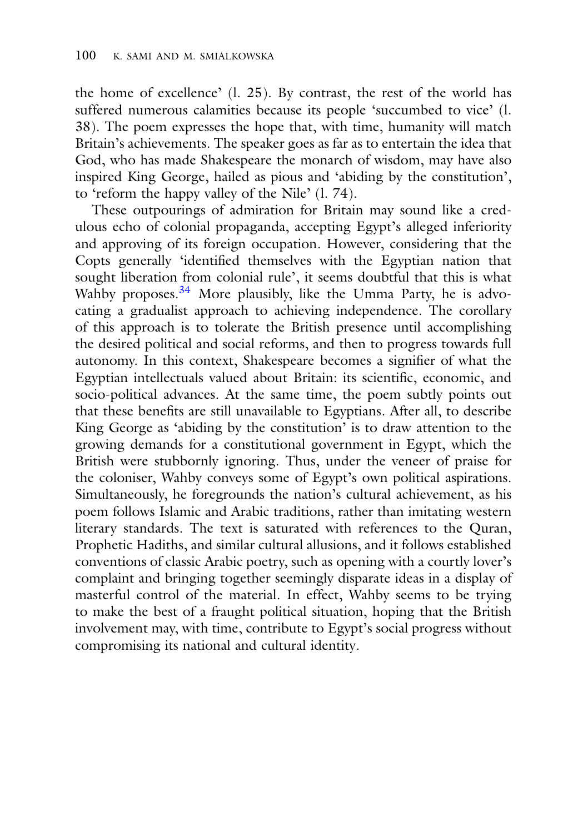the home of excellence' (l. 25). By contrast, the rest of the world has suffered numerous calamities because its people 'succumbed to vice' (l. 38). The poem expresses the hope that, with time, humanity will match Britain's achievements. The speaker goes as far as to entertain the idea that God, who has made Shakespeare the monarch of wisdom, may have also inspired King George, hailed as pious and 'abiding by the constitution', to 'reform the happy valley of the Nile' (l. 74).

These outpourings of admiration for Britain may sound like a credulous echo of colonial propaganda, accepting Egypt's alleged inferiority and approving of its foreign occupation. However, considering that the Copts generally 'identified themselves with the Egyptian nation that sought liberation from colonial rule', it seems doubtful that this is what Wahby proposes.<sup>34</sup> More plausibly, like the Umma Party, he is advocating a gradualist approach to achieving independence. The corollary of this approach is to tolerate the British presence until accomplishing the desired political and social reforms, and then to progress towards full autonomy. In this context, Shakespeare becomes a signifier of what the Egyptian intellectuals valued about Britain: its scientific, economic, and socio-political advances. At the same time, the poem subtly points out that these benefits are still unavailable to Egyptians. After all, to describe King George as 'abiding by the constitution' is to draw attention to the growing demands for a constitutional government in Egypt, which the British were stubbornly ignoring. Thus, under the veneer of praise for the coloniser, Wahby conveys some of Egypt's own political aspirations. Simultaneously, he foregrounds the nation's cultural achievement, as his poem follows Islamic and Arabic traditions, rather than imitating western literary standards. The text is saturated with references to the Quran, Prophetic Hadiths, and similar cultural allusions, and it follows established conventions of classic Arabic poetry, such as opening with a courtly lover's complaint and bringing together seemingly disparate ideas in a display of masterful control of the material. In effect, Wahby seems to be trying to make the best of a fraught political situation, hoping that the British involvement may, with time, contribute to Egypt's social progress without compromising its national and cultural identity.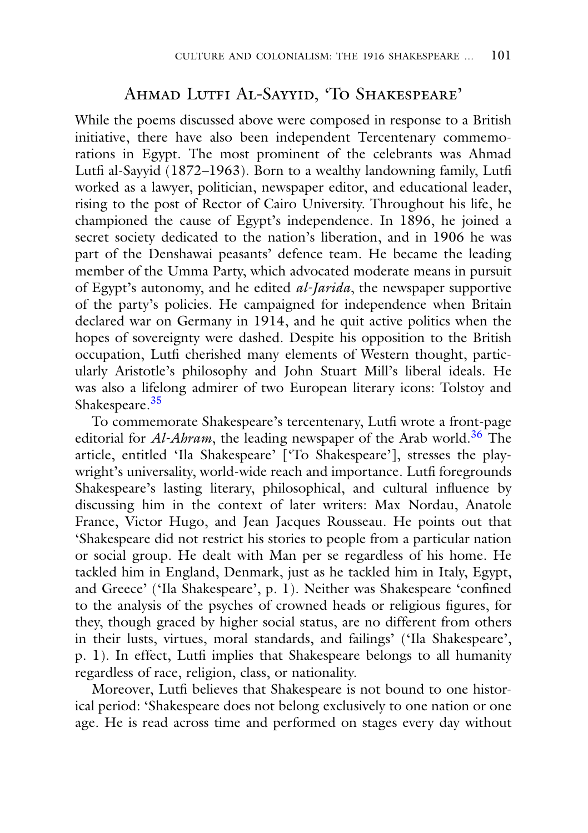## Ahmad Lutfi Al-Sayyid, 'To Shakespeare'

While the poems discussed above were composed in response to a British initiative, there have also been independent Tercentenary commemorations in Egypt. The most prominent of the celebrants was Ahmad Lutfi al-Sayyid (1872–1963). Born to a wealthy landowning family, Lutfi worked as a lawyer, politician, newspaper editor, and educational leader, rising to the post of Rector of Cairo University. Throughout his life, he championed the cause of Egypt's independence. In 1896, he joined a secret society dedicated to the nation's liberation, and in 1906 he was part of the Denshawai peasants' defence team. He became the leading member of the Umma Party, which advocated moderate means in pursuit of Egypt's autonomy, and he edited *al-Jarida*, the newspaper supportive of the party's policies. He campaigned for independence when Britain declared war on Germany in 1914, and he quit active politics when the hopes of sovereignty were dashed. Despite his opposition to the British occupation, Lutfi cherished many elements of Western thought, particularly Aristotle's philosophy and John Stuart Mill's liberal ideals. He was also a lifelong admirer of two European literary icons: Tolstoy and Shakespeare.[35](#page-18-0)

To commemorate Shakespeare's tercentenary, Lutfi wrote a front-page editorial for *Al-Ahram*, the leading newspaper of the Arab world.<sup>36</sup> The article, entitled 'Ila Shakespeare' ['To Shakespeare'], stresses the playwright's universality, world-wide reach and importance. Lutfi foregrounds Shakespeare's lasting literary, philosophical, and cultural influence by discussing him in the context of later writers: Max Nordau, Anatole France, Victor Hugo, and Jean Jacques Rousseau. He points out that 'Shakespeare did not restrict his stories to people from a particular nation or social group. He dealt with Man per se regardless of his home. He tackled him in England, Denmark, just as he tackled him in Italy, Egypt, and Greece' ('Ila Shakespeare', p. 1). Neither was Shakespeare 'confined to the analysis of the psyches of crowned heads or religious figures, for they, though graced by higher social status, are no different from others in their lusts, virtues, moral standards, and failings' ('Ila Shakespeare', p. 1). In effect, Lutfi implies that Shakespeare belongs to all humanity regardless of race, religion, class, or nationality.

Moreover, Lutfi believes that Shakespeare is not bound to one historical period: 'Shakespeare does not belong exclusively to one nation or one age. He is read across time and performed on stages every day without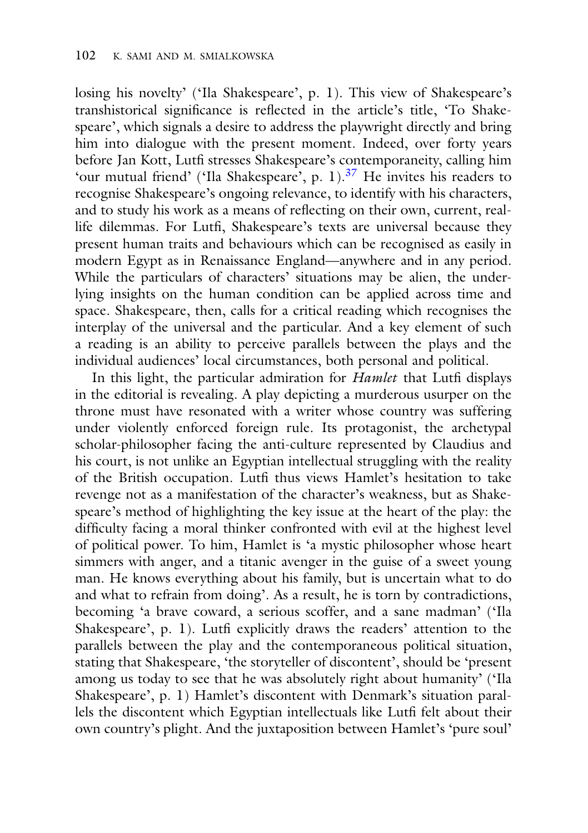losing his novelty' ('Ila Shakespeare', p. 1). This view of Shakespeare's transhistorical significance is reflected in the article's title, 'To Shakespeare', which signals a desire to address the playwright directly and bring him into dialogue with the present moment. Indeed, over forty years before Jan Kott, Lutfi stresses Shakespeare's contemporaneity, calling him 'our mutual friend' ('Ila Shakespeare', p. 1).<sup>37</sup> He invites his readers to recognise Shakespeare's ongoing relevance, to identify with his characters, and to study his work as a means of reflecting on their own, current, reallife dilemmas. For Lutfi, Shakespeare's texts are universal because they present human traits and behaviours which can be recognised as easily in modern Egypt as in Renaissance England—anywhere and in any period. While the particulars of characters' situations may be alien, the underlying insights on the human condition can be applied across time and space. Shakespeare, then, calls for a critical reading which recognises the interplay of the universal and the particular. And a key element of such a reading is an ability to perceive parallels between the plays and the individual audiences' local circumstances, both personal and political.

In this light, the particular admiration for *Hamlet* that Lutfi displays in the editorial is revealing. A play depicting a murderous usurper on the throne must have resonated with a writer whose country was suffering under violently enforced foreign rule. Its protagonist, the archetypal scholar-philosopher facing the anti-culture represented by Claudius and his court, is not unlike an Egyptian intellectual struggling with the reality of the British occupation. Lutfi thus views Hamlet's hesitation to take revenge not as a manifestation of the character's weakness, but as Shakespeare's method of highlighting the key issue at the heart of the play: the difficulty facing a moral thinker confronted with evil at the highest level of political power. To him, Hamlet is 'a mystic philosopher whose heart simmers with anger, and a titanic avenger in the guise of a sweet young man. He knows everything about his family, but is uncertain what to do and what to refrain from doing'. As a result, he is torn by contradictions, becoming 'a brave coward, a serious scoffer, and a sane madman' ('Ila Shakespeare', p. 1). Lutfi explicitly draws the readers' attention to the parallels between the play and the contemporaneous political situation, stating that Shakespeare, 'the storyteller of discontent', should be 'present among us today to see that he was absolutely right about humanity' ('Ila Shakespeare', p. 1) Hamlet's discontent with Denmark's situation parallels the discontent which Egyptian intellectuals like Lutfi felt about their own country's plight. And the juxtaposition between Hamlet's 'pure soul'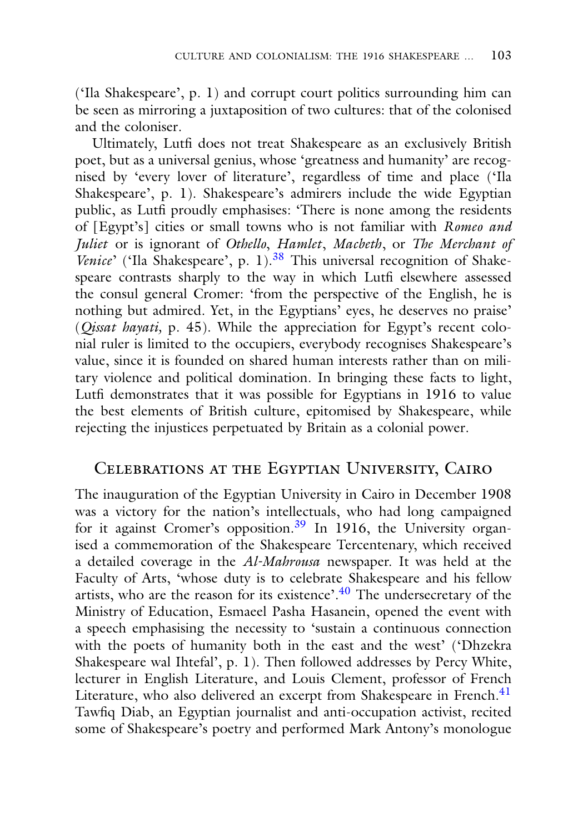('Ila Shakespeare', p. 1) and corrupt court politics surrounding him can be seen as mirroring a juxtaposition of two cultures: that of the colonised and the coloniser.

Ultimately, Lutfi does not treat Shakespeare as an exclusively British poet, but as a universal genius, whose 'greatness and humanity' are recognised by 'every lover of literature', regardless of time and place ('Ila Shakespeare', p. 1). Shakespeare's admirers include the wide Egyptian public, as Lutfi proudly emphasises: 'There is none among the residents of [Egypt's] cities or small towns who is not familiar with *Romeo and Juliet* or is ignorant of *Othello*, *Hamlet*, *Macbeth*, or *The Merchant of Venice*' ('Ila Shakespeare', p. 1).<sup>38</sup> This universal recognition of Shakespeare contrasts sharply to the way in which Lutfi elsewhere assessed the consul general Cromer: 'from the perspective of the English, he is nothing but admired. Yet, in the Egyptians' eyes, he deserves no praise' (*Qissat hayati,* p. 45). While the appreciation for Egypt's recent colonial ruler is limited to the occupiers, everybody recognises Shakespeare's value, since it is founded on shared human interests rather than on military violence and political domination. In bringing these facts to light, Lutfi demonstrates that it was possible for Egyptians in 1916 to value the best elements of British culture, epitomised by Shakespeare, while rejecting the injustices perpetuated by Britain as a colonial power.

## Celebrations at the Egyptian University, Cairo

The inauguration of the Egyptian University in Cairo in December 1908 was a victory for the nation's intellectuals, who had long campaigned for it against Cromer's opposition.<sup>[39](#page-18-0)</sup> In 1916, the University organised a commemoration of the Shakespeare Tercentenary, which received a detailed coverage in the *Al-Mahrousa* newspaper. It was held at the Faculty of Arts, 'whose duty is to celebrate Shakespeare and his fellow artists, who are the reason for its existence'. $40$  The undersecretary of the Ministry of Education, Esmaeel Pasha Hasanein, opened the event with a speech emphasising the necessity to 'sustain a continuous connection with the poets of humanity both in the east and the west' ('Dhzekra Shakespeare wal Ihtefal', p. 1). Then followed addresses by Percy White, lecturer in English Literature, and Louis Clement, professor of French Literature, who also delivered an excerpt from Shakespeare in French.<sup>41</sup> Tawfiq Diab, an Egyptian journalist and anti-occupation activist, recited some of Shakespeare's poetry and performed Mark Antony's monologue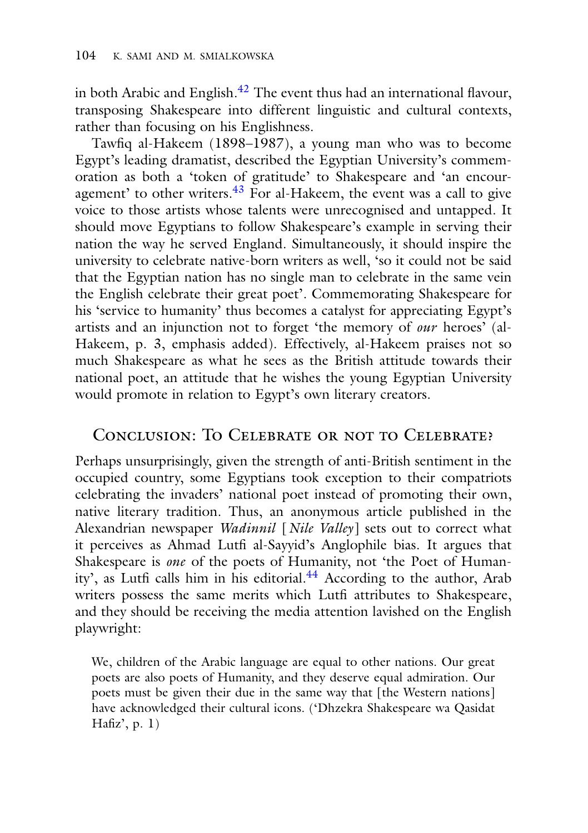in both Arabic and English. $^{42}$  The event thus had an international flavour, transposing Shakespeare into different linguistic and cultural contexts, rather than focusing on his Englishness.

Tawfiq al-Hakeem (1898–1987), a young man who was to become Egypt's leading dramatist, described the Egyptian University's commemoration as both a 'token of gratitude' to Shakespeare and 'an encouragement' to other writers. $43$  For al-Hakeem, the event was a call to give voice to those artists whose talents were unrecognised and untapped. It should move Egyptians to follow Shakespeare's example in serving their nation the way he served England. Simultaneously, it should inspire the university to celebrate native-born writers as well, 'so it could not be said that the Egyptian nation has no single man to celebrate in the same vein the English celebrate their great poet'. Commemorating Shakespeare for his 'service to humanity' thus becomes a catalyst for appreciating Egypt's artists and an injunction not to forget 'the memory of *our* heroes' (al-Hakeem, p. 3, emphasis added). Effectively, al-Hakeem praises not so much Shakespeare as what he sees as the British attitude towards their national poet, an attitude that he wishes the young Egyptian University would promote in relation to Egypt's own literary creators.

## Conclusion: To Celebrate or not to Celebrate?

Perhaps unsurprisingly, given the strength of anti-British sentiment in the occupied country, some Egyptians took exception to their compatriots celebrating the invaders' national poet instead of promoting their own, native literary tradition. Thus, an anonymous article published in the Alexandrian newspaper *Wadinnil* [*Nile Valley*] sets out to correct what it perceives as Ahmad Lutfi al-Sayyid's Anglophile bias. It argues that Shakespeare is *one* of the poets of Humanity, not 'the Poet of Humanity', as Lutfi calls him in his editorial.<sup>44</sup> According to the author, Arab writers possess the same merits which Lutfi attributes to Shakespeare, and they should be receiving the media attention lavished on the English playwright:

We, children of the Arabic language are equal to other nations. Our great poets are also poets of Humanity, and they deserve equal admiration. Our poets must be given their due in the same way that [the Western nations] have acknowledged their cultural icons. ('Dhzekra Shakespeare wa Qasidat Hafiz', p. 1)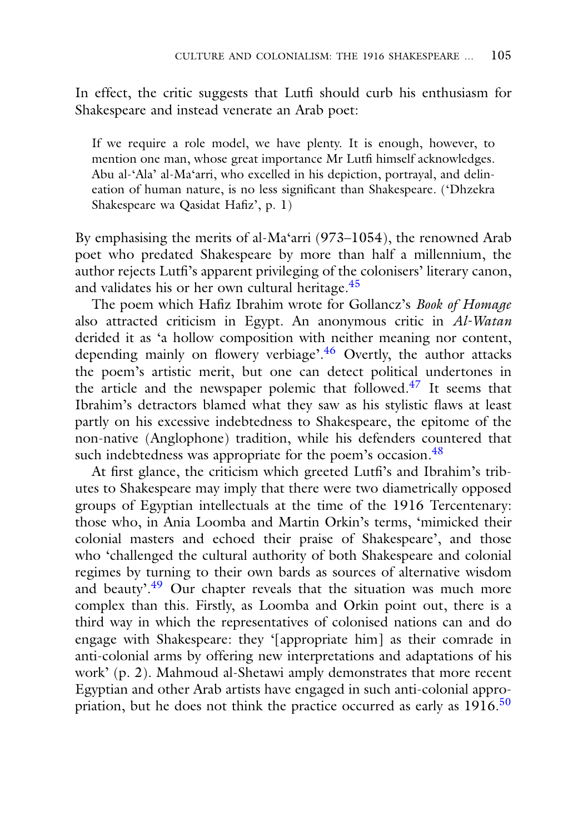In effect, the critic suggests that Lutfi should curb his enthusiasm for Shakespeare and instead venerate an Arab poet:

If we require a role model, we have plenty. It is enough, however, to mention one man, whose great importance Mr Lutfi himself acknowledges. Abu al-'Ala' al-Ma'arri, who excelled in his depiction, portrayal, and delineation of human nature, is no less significant than Shakespeare. ('Dhzekra Shakespeare wa Qasidat Hafiz', p. 1)

By emphasising the merits of al-Ma'arri (973–1054), the renowned Arab poet who predated Shakespeare by more than half a millennium, the author rejects Lutfi's apparent privileging of the colonisers' literary canon, and validates his or her own cultural heritage.[45](#page-18-0)

The poem which Hafiz Ibrahim wrote for Gollancz's *Book of Homage* also attracted criticism in Egypt. An anonymous critic in *Al-Watan* derided it as 'a hollow composition with neither meaning nor content, depending mainly on flowery verbiage'.<sup>46</sup> Overtly, the author attacks the poem's artistic merit, but one can detect political undertones in the article and the newspaper polemic that followed.<sup>[47](#page-18-0)</sup> It seems that Ibrahim's detractors blamed what they saw as his stylistic flaws at least partly on his excessive indebtedness to Shakespeare, the epitome of the non-native (Anglophone) tradition, while his defenders countered that such indebtedness was appropriate for the poem's occasion.<sup>48</sup>

At first glance, the criticism which greeted Lutfi's and Ibrahim's tributes to Shakespeare may imply that there were two diametrically opposed groups of Egyptian intellectuals at the time of the 1916 Tercentenary: those who, in Ania Loomba and Martin Orkin's terms, 'mimicked their colonial masters and echoed their praise of Shakespeare', and those who 'challenged the cultural authority of both Shakespeare and colonial regimes by turning to their own bards as sources of alternative wisdom and beauty'.<sup>[49](#page-18-0)</sup> Our chapter reveals that the situation was much more complex than this. Firstly, as Loomba and Orkin point out, there is a third way in which the representatives of colonised nations can and do engage with Shakespeare: they '[appropriate him] as their comrade in anti-colonial arms by offering new interpretations and adaptations of his work' (p. 2). Mahmoud al-Shetawi amply demonstrates that more recent Egyptian and other Arab artists have engaged in such anti-colonial appropriation, but he does not think the practice occurred as early as  $1916$ <sup>50</sup>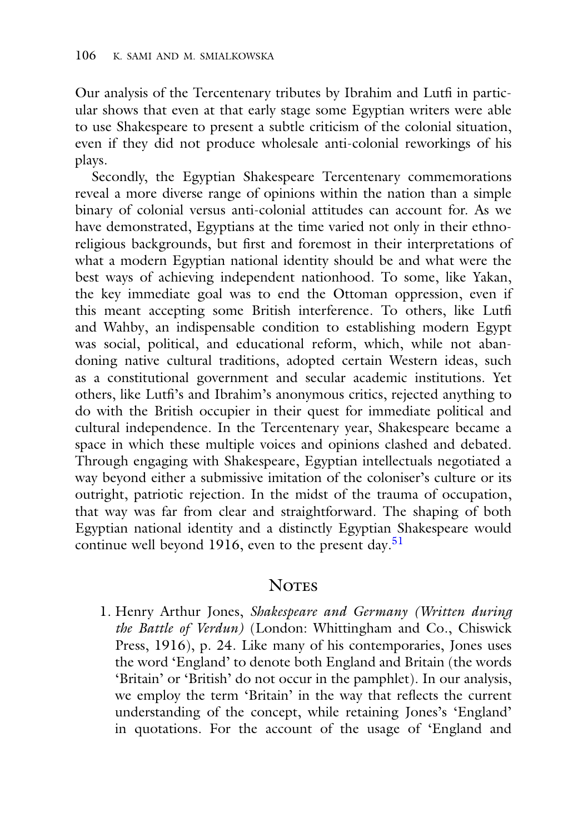Our analysis of the Tercentenary tributes by Ibrahim and Lutfi in particular shows that even at that early stage some Egyptian writers were able to use Shakespeare to present a subtle criticism of the colonial situation, even if they did not produce wholesale anti-colonial reworkings of his plays.

Secondly, the Egyptian Shakespeare Tercentenary commemorations reveal a more diverse range of opinions within the nation than a simple binary of colonial versus anti-colonial attitudes can account for. As we have demonstrated, Egyptians at the time varied not only in their ethnoreligious backgrounds, but first and foremost in their interpretations of what a modern Egyptian national identity should be and what were the best ways of achieving independent nationhood. To some, like Yakan, the key immediate goal was to end the Ottoman oppression, even if this meant accepting some British interference. To others, like Lutfi and Wahby, an indispensable condition to establishing modern Egypt was social, political, and educational reform, which, while not abandoning native cultural traditions, adopted certain Western ideas, such as a constitutional government and secular academic institutions. Yet others, like Lutfi's and Ibrahim's anonymous critics, rejected anything to do with the British occupier in their quest for immediate political and cultural independence. In the Tercentenary year, Shakespeare became a space in which these multiple voices and opinions clashed and debated. Through engaging with Shakespeare, Egyptian intellectuals negotiated a way beyond either a submissive imitation of the coloniser's culture or its outright, patriotic rejection. In the midst of the trauma of occupation, that way was far from clear and straightforward. The shaping of both Egyptian national identity and a distinctly Egyptian Shakespeare would continue well beyond 1916, even to the present day.<sup>51</sup>

## **NOTES**

<span id="page-18-0"></span>1. Henry Arthur Jones, *Shakespeare and Germany (Written during the Battle of Verdun)* (London: Whittingham and Co., Chiswick Press, 1916), p. 24. Like many of his contemporaries, Jones uses the word 'England' to denote both England and Britain (the words 'Britain' or 'British' do not occur in the pamphlet). In our analysis, we employ the term 'Britain' in the way that reflects the current understanding of the concept, while retaining Jones's 'England' in quotations. For the account of the usage of 'England and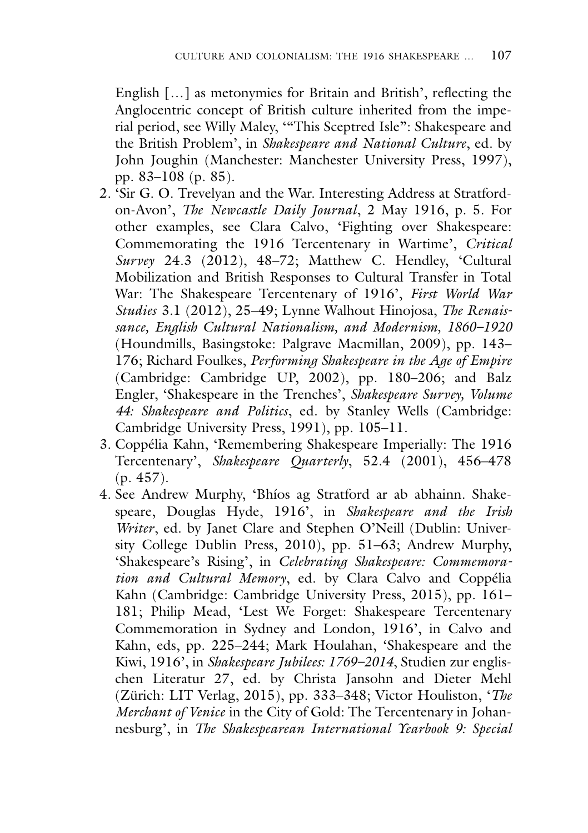English […] as metonymies for Britain and British', reflecting the Anglocentric concept of British culture inherited from the imperial period, see Willy Maley, '"This Sceptred Isle": Shakespeare and the British Problem', in *Shakespeare and National Culture*, ed. by John Joughin (Manchester: Manchester University Press, 1997), pp. 83–108 (p. 85).

- 2. 'Sir G. O. Trevelyan and the War. Interesting Address at Stratfordon-Avon', *The Newcastle Daily Journal*, 2 May 1916, p. 5. For other examples, see Clara Calvo, 'Fighting over Shakespeare: Commemorating the 1916 Tercentenary in Wartime', *Critical Survey* 24.3 (2012), 48–72; Matthew C. Hendley, 'Cultural Mobilization and British Responses to Cultural Transfer in Total War: The Shakespeare Tercentenary of 1916', *First World War Studies* 3.1 (2012), 25–49; Lynne Walhout Hinojosa, *The Renaissance, English Cultural Nationalism, and Modernism, 1860–1920* (Houndmills, Basingstoke: Palgrave Macmillan, 2009), pp. 143– 176; Richard Foulkes, *Performing Shakespeare in the Age of Empire* (Cambridge: Cambridge UP, 2002), pp. 180–206; and Balz Engler, 'Shakespeare in the Trenches', *Shakespeare Survey, Volume 44: Shakespeare and Politics*, ed. by Stanley Wells (Cambridge: Cambridge University Press, 1991), pp. 105–11.
- 3. Coppélia Kahn, 'Remembering Shakespeare Imperially: The 1916 Tercentenary', *Shakespeare Quarterly*, 52.4 (2001), 456–478 (p. 457).
- 4. See Andrew Murphy, 'Bhíos ag Stratford ar ab abhainn. Shakespeare, Douglas Hyde, 1916', in *Shakespeare and the Irish Writer*, ed. by Janet Clare and Stephen O'Neill (Dublin: University College Dublin Press, 2010), pp. 51–63; Andrew Murphy, 'Shakespeare's Rising', in *Celebrating Shakespeare: Commemoration and Cultural Memory*, ed. by Clara Calvo and Coppélia Kahn (Cambridge: Cambridge University Press, 2015), pp. 161– 181; Philip Mead, 'Lest We Forget: Shakespeare Tercentenary Commemoration in Sydney and London, 1916', in Calvo and Kahn, eds, pp. 225–244; Mark Houlahan, 'Shakespeare and the Kiwi, 1916', in *Shakespeare Jubilees: 1769–2014*, Studien zur englischen Literatur 27, ed. by Christa Jansohn and Dieter Mehl (Zürich: LIT Verlag, 2015), pp. 333–348; Victor Houliston, '*The Merchant of Venice* in the City of Gold: The Tercentenary in Johannesburg', in *The Shakespearean International Yearbook 9: Special*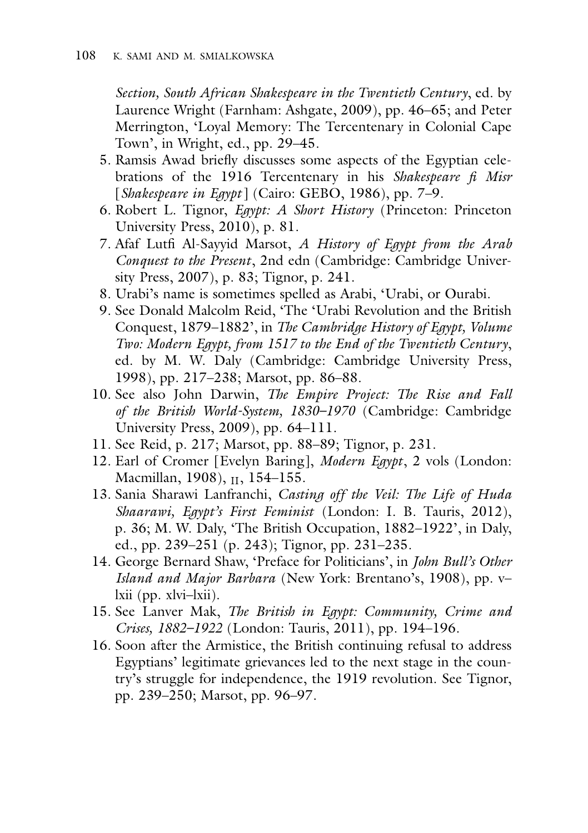*Section, South African Shakespeare in the Twentieth Century*, ed. by Laurence Wright (Farnham: Ashgate, 2009), pp. 46–65; and Peter Merrington, 'Loyal Memory: The Tercentenary in Colonial Cape Town', in Wright, ed., pp. 29–45.

- 5. Ramsis Awad briefly discusses some aspects of the Egyptian celebrations of the 1916 Tercentenary in his *Shakespeare fi Misr* [*Shakespeare in Egypt* ] (Cairo: GEBO, 1986), pp. 7–9.
- 6. Robert L. Tignor, *Egypt: A Short History* (Princeton: Princeton University Press, 2010), p. 81.
- 7. Afaf Lutfi Al-Sayyid Marsot, *A History of Egypt from the Arab Conquest to the Present*, 2nd edn (Cambridge: Cambridge University Press, 2007), p. 83; Tignor, p. 241.
- 8. Urabi's name is sometimes spelled as Arabi, 'Urabi, or Ourabi.
- 9. See Donald Malcolm Reid, 'The 'Urabi Revolution and the British Conquest, 1879–1882', in *The Cambridge History of Egypt, Volume Two: Modern Egypt, from 1517 to the End of the Twentieth Century*, ed. by M. W. Daly (Cambridge: Cambridge University Press, 1998), pp. 217–238; Marsot, pp. 86–88.
- 10. See also John Darwin, *The Empire Project: The Rise and Fall of the British World-System, 1830–1970* (Cambridge: Cambridge University Press, 2009), pp. 64–111.
- 11. See Reid, p. 217; Marsot, pp. 88–89; Tignor, p. 231.
- 12. Earl of Cromer [Evelyn Baring], *Modern Egypt*, 2 vols (London: Macmillan, 1908), II, 154-155.
- 13. Sania Sharawi Lanfranchi, *Casting off the Veil: The Life of Huda Shaarawi, Egypt's First Feminist* (London: I. B. Tauris, 2012), p. 36; M. W. Daly, 'The British Occupation, 1882–1922', in Daly, ed., pp. 239–251 (p. 243); Tignor, pp. 231–235.
- 14. George Bernard Shaw, 'Preface for Politicians', in *John Bull's Other Island and Major Barbara* (New York: Brentano's, 1908), pp. v– lxii (pp. xlvi–lxii).
- 15. See Lanver Mak, *The British in Egypt: Community, Crime and Crises, 1882–1922* (London: Tauris, 2011), pp. 194–196.
- 16. Soon after the Armistice, the British continuing refusal to address Egyptians' legitimate grievances led to the next stage in the country's struggle for independence, the 1919 revolution. See Tignor, pp. 239–250; Marsot, pp. 96–97.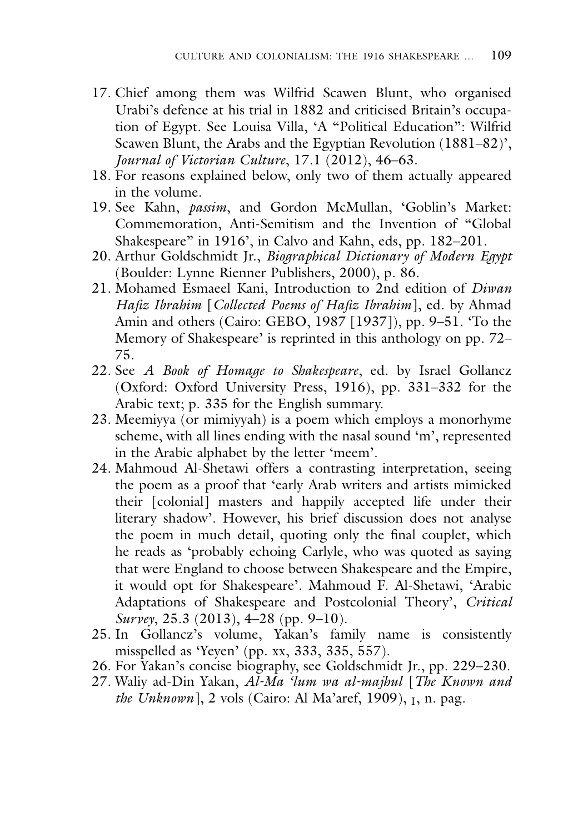- 17. Chief among them was Wilfrid Scawen Blunt, who organised Urabi's defence at his trial in 1882 and criticised Britain's occupation of Egypt. See Louisa Villa, 'A "Political Education": Wilfrid Scawen Blunt, the Arabs and the Egyptian Revolution (1881–82)', *Journal of Victorian Culture*, 17.1 (2012), 46–63.
- 18. For reasons explained below, only two of them actually appeared in the volume.
- 19. See Kahn, *passim*, and Gordon McMullan, 'Goblin's Market: Commemoration, Anti-Semitism and the Invention of "Global Shakespeare" in 1916', in Calvo and Kahn, eds, pp. 182–201.
- 20. Arthur Goldschmidt Jr., *Biographical Dictionary of Modern Egypt* (Boulder: Lynne Rienner Publishers, 2000), p. 86.
- 21. Mohamed Esmaeel Kani, Introduction to 2nd edition of *Diwan Hafiz Ibrahim* [*Collected Poems of Hafiz Ibrahim*], ed. by Ahmad Amin and others (Cairo: GEBO, 1987 [1937]), pp. 9–51. 'To the Memory of Shakespeare' is reprinted in this anthology on pp. 72– 75.
- 22. See *A Book of Homage to Shakespeare*, ed. by Israel Gollancz (Oxford: Oxford University Press, 1916), pp. 331–332 for the Arabic text; p. 335 for the English summary.
- 23. Meemiyya (or mimiyyah) is a poem which employs a monorhyme scheme, with all lines ending with the nasal sound 'm', represented in the Arabic alphabet by the letter 'meem'.
- 24. Mahmoud Al-Shetawi offers a contrasting interpretation, seeing the poem as a proof that 'early Arab writers and artists mimicked their [colonial] masters and happily accepted life under their literary shadow'. However, his brief discussion does not analyse the poem in much detail, quoting only the final couplet, which he reads as 'probably echoing Carlyle, who was quoted as saying that were England to choose between Shakespeare and the Empire, it would opt for Shakespeare'. Mahmoud F. Al-Shetawi, 'Arabic Adaptations of Shakespeare and Postcolonial Theory', *Critical Survey*, 25.3 (2013), 4–28 (pp. 9–10).
- 25. In Gollancz's volume, Yakan's family name is consistently misspelled as 'Yeyen' (pp. xx, 333, 335, 557).
- 26. For Yakan's concise biography, see Goldschmidt Jr., pp. 229–230.
- 27. Waliy ad-Din Yakan, *Al-Ma 'lum wa al-majhul* [*The Known and the Unknown*], 2 vols (Cairo: Al Ma'aref, 1909), I, n. pag.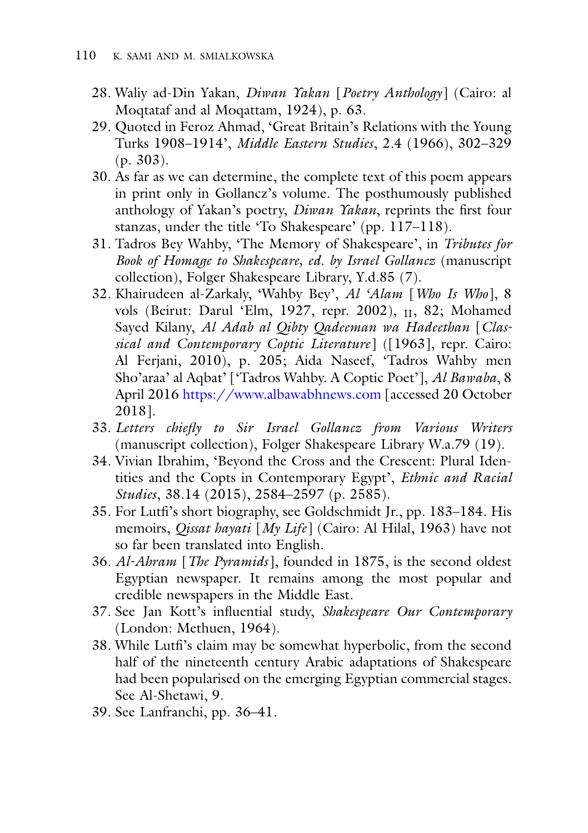- 28. Waliy ad-Din Yakan, *Diwan Yakan* [*Poetry Anthology*] (Cairo: al Moqtataf and al Moqattam, 1924), p. 63.
- 29. Quoted in Feroz Ahmad, 'Great Britain's Relations with the Young Turks 1908–1914', *Middle Eastern Studies*, 2.4 (1966), 302–329 (p. 303).
- 30. As far as we can determine, the complete text of this poem appears in print only in Gollancz's volume. The posthumously published anthology of Yakan's poetry, *Diwan Yakan*, reprints the first four stanzas, under the title 'To Shakespeare' (pp. 117–118).
- 31. Tadros Bey Wahby, 'The Memory of Shakespeare', in *Tributes for Book of Homage to Shakespeare, ed. by Israel Gollancz* (manuscript collection), Folger Shakespeare Library, Y.d.85 (7).
- 32. Khairudeen al-Zarkaly, 'Wahby Bey', *Al 'Alam* [*Who Is Who*], 8 vols (Beirut: Darul 'Elm, 1927, repr. 2002), II, 82; Mohamed Sayed Kilany, *Al Adab al Qibty Qadeeman wa Hadeethan* [*Classical and Contemporary Coptic Literature*] ([1963], repr. Cairo: Al Ferjani, 2010), p. 205; Aida Naseef, 'Tadros Wahby men Sho'araa' al Aqbat' ['Tadros Wahby. A Coptic Poet'], *Al Bawaba*, 8 April 2016 <https://www.albawabhnews.com> [accessed 20 October 2018].
- 33. *Letters chiefly to Sir Israel Gollancz from Various Writers* (manuscript collection), Folger Shakespeare Library W.a.79 (19).
- 34. Vivian Ibrahim, 'Beyond the Cross and the Crescent: Plural Identities and the Copts in Contemporary Egypt', *Ethnic and Racial Studies*, 38.14 (2015), 2584–2597 (p. 2585).
- 35. For Lutfi's short biography, see Goldschmidt Jr., pp. 183–184. His memoirs, *Qissat hayati* [*My Life*] (Cairo: Al Hilal, 1963) have not so far been translated into English.
- 36. *Al-Ahram* [*The Pyramids* ], founded in 1875, is the second oldest Egyptian newspaper. It remains among the most popular and credible newspapers in the Middle East.
- 37. See Jan Kott's influential study, *Shakespeare Our Contemporary* (London: Methuen, 1964).
- 38. While Lutfi's claim may be somewhat hyperbolic, from the second half of the nineteenth century Arabic adaptations of Shakespeare had been popularised on the emerging Egyptian commercial stages. See Al-Shetawi, 9.
- 39. See Lanfranchi, pp. 36–41.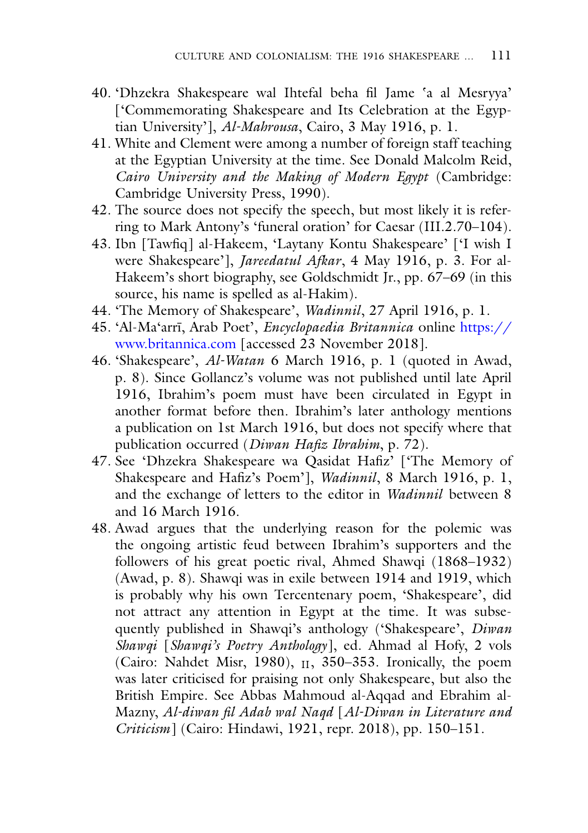- 40. 'Dhzekra Shakespeare wal Ihtefal beha fil Jame 'a al Mesryya' ['Commemorating Shakespeare and Its Celebration at the Egyptian University'], *Al-Mahrousa*, Cairo, 3 May 1916, p. 1.
- 41. White and Clement were among a number of foreign staff teaching at the Egyptian University at the time. See Donald Malcolm Reid, *Cairo University and the Making of Modern Egypt* (Cambridge: Cambridge University Press, 1990).
- 42. The source does not specify the speech, but most likely it is referring to Mark Antony's 'funeral oration' for Caesar (III.2.70–104).
- 43. Ibn [Tawfiq] al-Hakeem, 'Laytany Kontu Shakespeare' ['I wish I were Shakespeare'], *Jareedatul Afkar*, 4 May 1916, p. 3. For al-Hakeem's short biography, see Goldschmidt Jr., pp. 67–69 (in this source, his name is spelled as al-Hakim).
- 44. 'The Memory of Shakespeare', *Wadinnil*, 27 April 1916, p. 1.
- 45. 'Al-Ma'arrī, Arab Poet', *Encyclopaedia Britannica* online https:// www.britannica.com [\[accessed 23 November 2018\].](https://www.britannica.com)
- 46. 'Shakespeare', *Al-Watan* 6 March 1916, p. 1 (quoted in Awad, p. 8). Since Gollancz's volume was not published until late April 1916, Ibrahim's poem must have been circulated in Egypt in another format before then. Ibrahim's later anthology mentions a publication on 1st March 1916, but does not specify where that publication occurred (*Diwan Hafiz Ibrahim*, p. 72).
- 47. See 'Dhzekra Shakespeare wa Qasidat Hafiz' ['The Memory of Shakespeare and Hafiz's Poem'], *Wadinnil*, 8 March 1916, p. 1, and the exchange of letters to the editor in *Wadinnil* between 8 and 16 March 1916.
- 48. Awad argues that the underlying reason for the polemic was the ongoing artistic feud between Ibrahim's supporters and the followers of his great poetic rival, Ahmed Shawqi (1868–1932) (Awad, p. 8). Shawqi was in exile between 1914 and 1919, which is probably why his own Tercentenary poem, 'Shakespeare', did not attract any attention in Egypt at the time. It was subsequently published in Shawqi's anthology ('Shakespeare', *Diwan Shawqi* [*Shawqi's Poetry Anthology*], ed. Ahmad al Hofy, 2 vols (Cairo: Nahdet Misr, 1980),  $_{II}$ , 350–353. Ironically, the poem was later criticised for praising not only Shakespeare, but also the British Empire. See Abbas Mahmoud al-Aqqad and Ebrahim al-Mazny, *Al-diwan fil Adab wal Naqd* [*Al-Diwan in Literature and Criticism*] (Cairo: Hindawi, 1921, repr. 2018), pp. 150–151.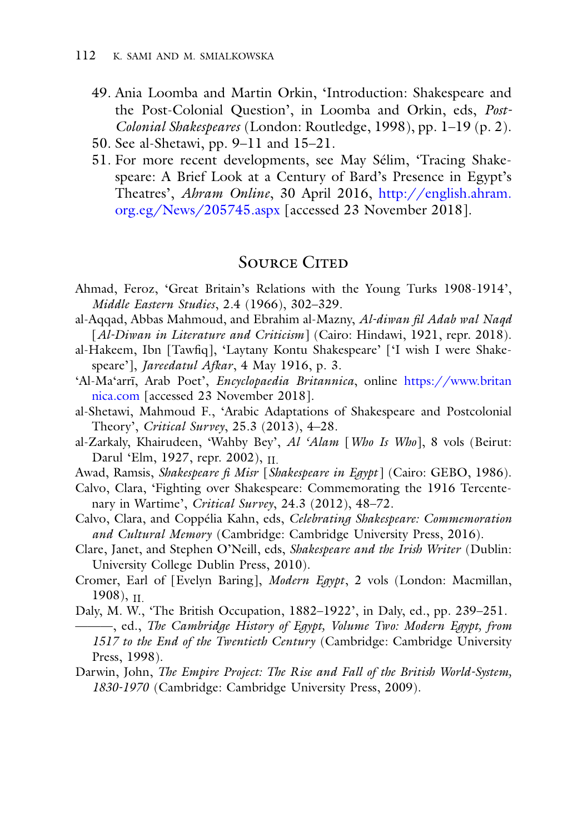- 49. Ania Loomba and Martin Orkin, 'Introduction: Shakespeare and the Post-Colonial Question', in Loomba and Orkin, eds, *Post-Colonial Shakespeares* (London: Routledge, 1998), pp. 1–19 (p. 2).
- 50. See al-Shetawi, pp. 9–11 and 15–21.
- 51. For more recent developments, see May Sélim, 'Tracing Shakespeare: A Brief Look at a Century of Bard's Presence in Egypt's Theatres', *Ahram Online*, 30 April 2016, http://english.ahram. org.eg/News/205745.aspx [\[accessed 23 November 2018\].](http://english.ahram.org.eg/News/205745.aspx)

## SOURCE CITED

- Ahmad, Feroz, 'Great Britain's Relations with the Young Turks 1908-1914', *Middle Eastern Studies*, 2.4 (1966), 302–329.
- al-Aqqad, Abbas Mahmoud, and Ebrahim al-Mazny, *Al-diwan fil Adab wal Naqd* [*Al-Diwan in Literature and Criticism*] (Cairo: Hindawi, 1921, repr. 2018).
- al-Hakeem, Ibn [Tawfiq], 'Laytany Kontu Shakespeare' ['I wish I were Shakespeare'], *Jareedatul Afkar*, 4 May 1916, p. 3.
- 'Al-Ma'arrī, Arab Poet', *Encyclopaedia Britannica*, online https://www.britan nica.com [\[accessed 23 November 2018\].](https://www.britannica.com)
- al-Shetawi, Mahmoud F., 'Arabic Adaptations of Shakespeare and Postcolonial Theory', *Critical Survey*, 25.3 (2013), 4–28.
- al-Zarkaly, Khairudeen, 'Wahby Bey', *Al 'Alam* [*Who Is Who*], 8 vols (Beirut: Darul 'Elm, 1927, repr. 2002), II.
- Awad, Ramsis, *Shakespeare fi Misr* [*Shakespeare in Egypt* ] (Cairo: GEBO, 1986).
- Calvo, Clara, 'Fighting over Shakespeare: Commemorating the 1916 Tercentenary in Wartime', *Critical Survey*, 24.3 (2012), 48–72.
- Calvo, Clara, and Coppélia Kahn, eds, *Celebrating Shakespeare: Commemoration and Cultural Memory* (Cambridge: Cambridge University Press, 2016).
- Clare, Janet, and Stephen O'Neill, eds, *Shakespeare and the Irish Writer* (Dublin: University College Dublin Press, 2010).
- Cromer, Earl of [Evelyn Baring], *Modern Egypt*, 2 vols (London: Macmillan,  $1908$ ,  $\text{II}$
- Daly, M. W., 'The British Occupation, 1882–1922', in Daly, ed., pp. 239–251.
- ———, ed., *The Cambridge History of Egypt, Volume Two: Modern Egypt, from 1517 to the End of the Twentieth Century* (Cambridge: Cambridge University Press, 1998).
- Darwin, John, *The Empire Project: The Rise and Fall of the British World-System, 1830-1970* (Cambridge: Cambridge University Press, 2009).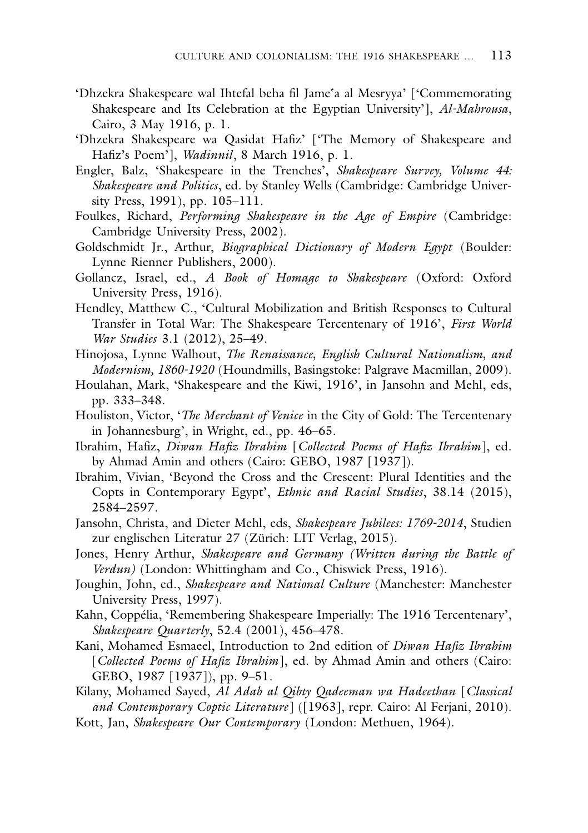- 'Dhzekra Shakespeare wal Ihtefal beha fil Jame 'a al Mesryya' ['Commemorating Shakespeare and Its Celebration at the Egyptian University'], *Al-Mahrousa*, Cairo, 3 May 1916, p. 1.
- 'Dhzekra Shakespeare wa Qasidat Hafiz' ['The Memory of Shakespeare and Hafiz's Poem'], *Wadinnil*, 8 March 1916, p. 1.
- Engler, Balz, 'Shakespeare in the Trenches', *Shakespeare Survey, Volume 44: Shakespeare and Politics*, ed. by Stanley Wells (Cambridge: Cambridge University Press, 1991), pp. 105–111.
- Foulkes, Richard, *Performing Shakespeare in the Age of Empire* (Cambridge: Cambridge University Press, 2002).
- Goldschmidt Jr., Arthur, *Biographical Dictionary of Modern Egypt* (Boulder: Lynne Rienner Publishers, 2000).
- Gollancz, Israel, ed., *A Book of Homage to Shakespeare* (Oxford: Oxford University Press, 1916).
- Hendley, Matthew C., 'Cultural Mobilization and British Responses to Cultural Transfer in Total War: The Shakespeare Tercentenary of 1916', *First World War Studies* 3.1 (2012), 25–49.
- Hinojosa, Lynne Walhout, *The Renaissance, English Cultural Nationalism, and Modernism, 1860-1920* (Houndmills, Basingstoke: Palgrave Macmillan, 2009).
- Houlahan, Mark, 'Shakespeare and the Kiwi, 1916', in Jansohn and Mehl, eds, pp. 333–348.
- Houliston, Victor, '*The Merchant of Venice* in the City of Gold: The Tercentenary in Johannesburg', in Wright, ed., pp. 46–65.
- Ibrahim, Hafiz, *Diwan Hafiz Ibrahim* [*Collected Poems of Hafiz Ibrahim*], ed. by Ahmad Amin and others (Cairo: GEBO, 1987 [1937]).
- Ibrahim, Vivian, 'Beyond the Cross and the Crescent: Plural Identities and the Copts in Contemporary Egypt', *Ethnic and Racial Studies*, 38.14 (2015), 2584–2597.
- Jansohn, Christa, and Dieter Mehl, eds, *Shakespeare Jubilees: 1769-2014*, Studien zur englischen Literatur 27 (Zürich: LIT Verlag, 2015).
- Jones, Henry Arthur, *Shakespeare and Germany (Written during the Battle of Verdun)* (London: Whittingham and Co., Chiswick Press, 1916).
- Joughin, John, ed., *Shakespeare and National Culture* (Manchester: Manchester University Press, 1997).
- Kahn, Coppélia, 'Remembering Shakespeare Imperially: The 1916 Tercentenary', *Shakespeare Quarterly*, 52.4 (2001), 456–478.
- Kani, Mohamed Esmaeel, Introduction to 2nd edition of *Diwan Hafiz Ibrahim* [*Collected Poems of Hafiz Ibrahim*], ed. by Ahmad Amin and others (Cairo: GEBO, 1987 [1937]), pp. 9–51.

Kilany, Mohamed Sayed, *Al Adab al Qibty Qadeeman wa Hadeethan* [*Classical and Contemporary Coptic Literature*] ([1963], repr. Cairo: Al Ferjani, 2010).

Kott, Jan, *Shakespeare Our Contemporary* (London: Methuen, 1964).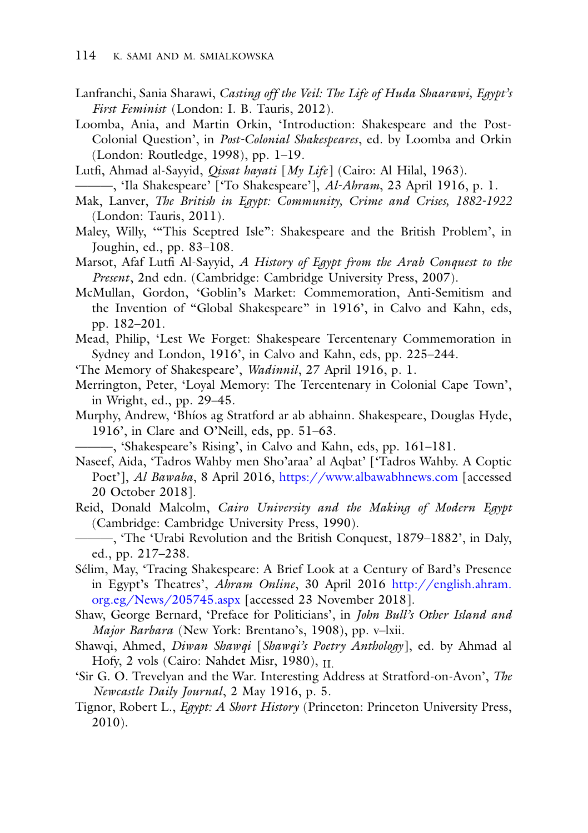- Lanfranchi, Sania Sharawi, *Casting off the Veil: The Life of Huda Shaarawi, Egypt's First Feminist* (London: I. B. Tauris, 2012).
- Loomba, Ania, and Martin Orkin, 'Introduction: Shakespeare and the Post-Colonial Question', in *Post-Colonial Shakespeares*, ed. by Loomba and Orkin (London: Routledge, 1998), pp. 1–19.
- Lutfi, Ahmad al-Sayyid, *Qissat hayati* [*My Life*] (Cairo: Al Hilal, 1963).
- ———, 'Ila Shakespeare' ['To Shakespeare'], *Al-Ahram*, 23 April 1916, p. 1.
- Mak, Lanver, *The British in Egypt: Community, Crime and Crises, 1882-1922* (London: Tauris, 2011).
- Maley, Willy, '"This Sceptred Isle": Shakespeare and the British Problem', in Joughin, ed., pp. 83–108.
- Marsot, Afaf Lutfi Al-Sayyid, *A History of Egypt from the Arab Conquest to the Present*, 2nd edn. (Cambridge: Cambridge University Press, 2007).
- McMullan, Gordon, 'Goblin's Market: Commemoration, Anti-Semitism and the Invention of "Global Shakespeare" in 1916', in Calvo and Kahn, eds, pp. 182–201.
- Mead, Philip, 'Lest We Forget: Shakespeare Tercentenary Commemoration in Sydney and London, 1916', in Calvo and Kahn, eds, pp. 225–244.
- 'The Memory of Shakespeare', *Wadinnil*, 27 April 1916, p. 1.
- Merrington, Peter, 'Loyal Memory: The Tercentenary in Colonial Cape Town', in Wright, ed., pp. 29–45.
- Murphy, Andrew, 'Bhíos ag Stratford ar ab abhainn. Shakespeare, Douglas Hyde, 1916', in Clare and O'Neill, eds, pp. 51–63.

———, 'Shakespeare's Rising', in Calvo and Kahn, eds, pp. 161–181.

- Naseef, Aida, 'Tadros Wahby men Sho'araa' al Aqbat' ['Tadros Wahby. A Coptic Poet'], *Al Bawaba*, 8 April 2016, <https://www.albawabhnews.com> [accessed 20 October 2018].
- Reid, Donald Malcolm, *Cairo University and the Making of Modern Egypt* (Cambridge: Cambridge University Press, 1990).
- ———, 'The 'Urabi Revolution and the British Conquest, 1879–1882', in Daly, ed., pp. 217–238.
- Sélim, May, 'Tracing Shakespeare: A Brief Look at a Century of Bard's Presence in Egypt's Theatres', *Ahram Online*, 30 April 2016 http://english.ahram. org.eg/News/205745.aspx [\[accessed 23 November 2018\].](http://english.ahram.org.eg/News/205745.aspx)
- Shaw, George Bernard, 'Preface for Politicians', in *John Bull's Other Island and Major Barbara* (New York: Brentano's, 1908), pp. v–lxii.
- Shawqi, Ahmed, *Diwan Shawqi* [*Shawqi's Poetry Anthology*], ed. by Ahmad al Hofy, 2 vols (Cairo: Nahdet Misr, 1980),  $_{\text{II}}$
- 'Sir G. O. Trevelyan and the War. Interesting Address at Stratford-on-Avon', *The Newcastle Daily Journal*, 2 May 1916, p. 5.
- Tignor, Robert L., *Egypt: A Short History* (Princeton: Princeton University Press, 2010).